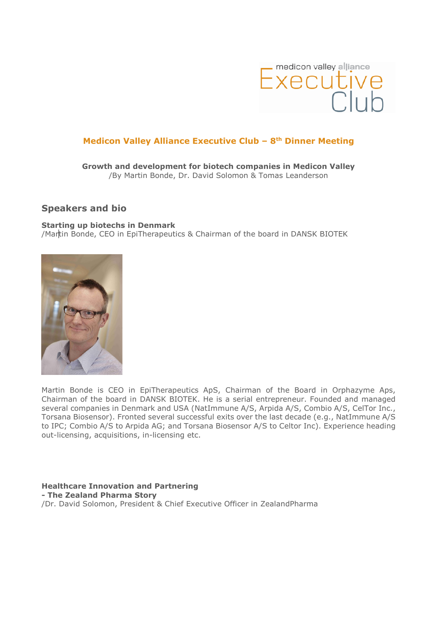

## Medicon Valley Alliance Executive Club –  $8<sup>th</sup>$  Dinner Meeting

Growth and development for biotech companies in Medicon Valley /By Martin Bonde, Dr. David Solomon & Tomas Leanderson

## Speakers and bio

Starting up biotechs in Denmark /Martin Bonde, CEO in EpiTherapeutics & Chairman of the board in DANSK BIOTEK



Martin Bonde is CEO in EpiTherapeutics ApS, Chairman of the Board in Orphazyme Aps, Chairman of the board in DANSK BIOTEK. He is a serial entrepreneur. Founded and managed several companies in Denmark and USA (NatImmune A/S, Arpida A/S, Combio A/S, CelTor Inc., Torsana Biosensor). Fronted several successful exits over the last decade (e.g., NatImmune A/S to IPC; Combio A/S to Arpida AG; and Torsana Biosensor A/S to Celtor Inc). Experience heading out-licensing, acquisitions, in-licensing etc.

Healthcare Innovation and Partnering - The Zealand Pharma Story /Dr. David Solomon, President & Chief Executive Officer in ZealandPharma